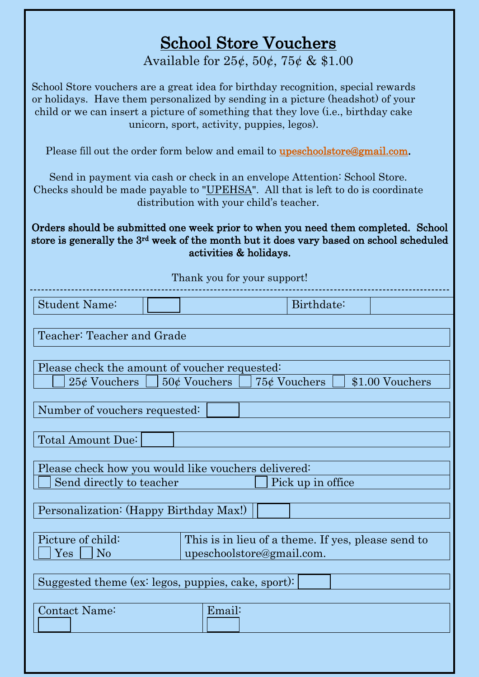## School Store Vouchers

Available for  $25¢$ ,  $50¢$ ,  $75¢$  & \$1.00

| School Store vouchers are a great idea for birthday recognition, special rewards<br>or holidays. Have them personalized by sending in a picture (headshot) of your<br>child or we can insert a picture of something that they love (i.e., birthday cake<br>unicorn, sport, activity, puppies, legos). |
|-------------------------------------------------------------------------------------------------------------------------------------------------------------------------------------------------------------------------------------------------------------------------------------------------------|
| Please fill out the order form below and email to <b>upeschoolstore@gmail.com</b> .                                                                                                                                                                                                                   |
| Send in payment via cash or check in an envelope Attention: School Store.<br>Checks should be made payable to "UPEHSA". All that is left to do is coordinate<br>distribution with your child's teacher.                                                                                               |
| Orders should be submitted one week prior to when you need them completed. School<br>store is generally the 3 <sup>rd</sup> week of the month but it does vary based on school scheduled<br>activities & holidays.                                                                                    |
| Thank you for your support!                                                                                                                                                                                                                                                                           |
| <b>Student Name:</b><br>Birthdate:                                                                                                                                                                                                                                                                    |
| Teacher: Teacher and Grade                                                                                                                                                                                                                                                                            |
| Please check the amount of voucher requested:<br>$75¢$ Vouchers<br>\$1.00 Vouchers<br>$25¢$ Vouchers<br>$50¢$ Vouchers                                                                                                                                                                                |
| Number of vouchers requested:                                                                                                                                                                                                                                                                         |
| Total Amount Due:                                                                                                                                                                                                                                                                                     |
| Please check how you would like vouchers delivered:                                                                                                                                                                                                                                                   |
| Send directly to teacher<br>Pick up in office                                                                                                                                                                                                                                                         |
| Personalization: (Happy Birthday Max!)                                                                                                                                                                                                                                                                |
| Picture of child:<br>This is in lieu of a theme. If yes, please send to<br>N <sub>o</sub><br>upeschoolstore@gmail.com.<br>$\operatorname{Yes}$                                                                                                                                                        |
| Suggested theme (ex: legos, puppies, cake, sport):                                                                                                                                                                                                                                                    |
| Contact Name:<br>Email:                                                                                                                                                                                                                                                                               |
|                                                                                                                                                                                                                                                                                                       |